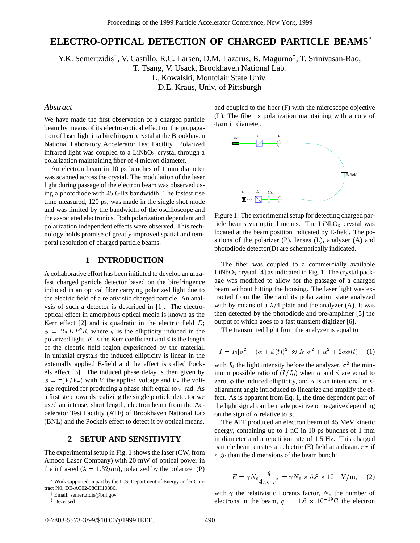# **ELECTRO-OPTICAL DETECTION OF CHARGED PARTICLE BEAMS**

Y.K. Semertzidis<sup>†</sup>, V. Castillo, R.C. Larsen, D.M. Lazarus, B. Magurno<sup>‡</sup>, T. Srinivasan-Rao,

T. Tsang, V. Usack, Brookhaven National Lab.

L. Kowalski, Montclair State Univ.

D.E. Kraus, Univ. of Pittsburgh

### *Abstract*

We have made the first observation of a charged particle beam by means of its electro-optical effect on the propagation of laser light in a birefringent crystal at the Brookhaven National Laboratory Accelerator Test Facility. Polarized infrared light was coupled to a  $LiNbO<sub>3</sub>$  crystal through a polarization maintaining fiber of 4 micron diameter.

An electron beam in 10 ps bunches of 1 mm diameter was scanned across the crystal. The modulation of the laser light during passage of the electron beam was observed using a photodiode with 45 GHz bandwidth. The fastest rise time measured, 120 ps, was made in the single shot mode and was limited by the bandwidth of the oscilloscope and the associated electronics. Both polarization dependent and polarization independent effects were observed. This technology holds promise of greatly improved spatial and temporal resolution of charged particle beams.

# **1 INTRODUCTION**

A collaborative effort has been initiated to develop an ultrafast charged particle detector based on the birefringence induced in an optical fiber carrying polarized light due to the electric field of a relativistic charged particle. An analysis of such a detector is described in [1]. The electrooptical effect in amorphous optical media is known as the Kerr effect  $[2]$  and is quadratic in the electric field  $E$ ;  $\phi = 2\pi KE^2 d$ , where  $\phi$  is the ellipticity induced in the polarized light,  $K$  is the Kerr coefficient and  $d$  is the length of the electric field region experienced by the material. In uniaxial crystals the induced ellipticity is linear in the externally applied E-field and the effect is called Pockels effect [3]. The induced phase delay is then given by  $\phi = \pi (V / V_{\pi})$  with V the applied voltage and  $V_{\pi}$  the voltage required for producing a phase shift equal to  $\pi$  rad. As a first step towards realizing the single particle detector we used an intense, short length, electron beam from the Accelerator Test Facility (ATF) of Brookhaven National Lab (BNL) and the Pockels effect to detect it by optical means.

# **2 SETUP AND SENSITIVITY**

The experimental setup in Fig. 1 shows the laser (CW, from Amoco Laser Company) with 20 mW of optical power in the infra-red ( $\lambda = 1.32 \mu$ m), polarized by the polarizer (P)

and coupled to the fiber (F) with the microscope objective (L). The fiber is polarization maintaining with a core of  $4\mu$ m in diameter.



Figure 1: The experimental setup for detecting charged particle beams via optical means. The  $LiNbO<sub>3</sub>$  crystal was located at the beam position indicated by E-field. The positions of the polarizer (P), lenses (L), analyzer (A) and photodiode detector(D) are schematically indicated.

The fiber was coupled to a commercially available  $LiNbO<sub>3</sub>$  crystal [4] as indicated in Fig. 1. The crystal package was modified to allow for the passage of a charged beam without hitting the housing. The laser light was extracted from the fiber and its polarization state analyzed with by means of a  $\lambda/4$  plate and the analyzer (A). It was then detected by the photodiode and pre-amplifier [5] the output of which goes to a fast transient digitizer [6].

The transmitted light from the analyzer is equal to

$$
I = I_0[\sigma^2 + (\alpha + \phi(t))^2] \approx I_0[\sigma^2 + \alpha^2 + 2\alpha\phi(t)], \tag{1}
$$

with  $I_0$  the light intensity before the analyzer,  $\sigma^2$  the minimum possible ratio of  $(I/I_0)$  when  $\alpha$  and  $\phi$  are equal to zero,  $\phi$  the induced ellipticity, and  $\alpha$  is an intentional misalignment angle introduced to linearize and amplify the effect. As is apparent from Eq. 1, the time dependent part of the light signal can be made positive or negative depending on the sign of  $\alpha$  relative to  $\phi$ .

The ATF produced an electron beam of 45 MeV kinetic energy, containing up to 1 nC in 10 ps bunches of 1 mm in diameter and a repetition rate of 1.5 Hz. This charged particle beam creates an electric  $(E)$  field at a distance r if  $r \gg$  than the dimensions of the beam bunch:

$$
E = \gamma N_e \frac{q}{4\pi\epsilon_0 r^2} = \gamma N_e \times 5.8 \times 10^{-5} \text{V/m}, \quad (2)
$$

with  $\gamma$  the relativistic Lorentz factor,  $N_e$  the number of electrons in the beam,  $q = 1.6 \times 10^{-19}$ C the electron

Work supported in part by the U.S. Department of Energy under Contract N0. DE-AC02-98CH10886.

<sup>&</sup>lt;sup>†</sup> Email: semertzidis@bnl.gov

<sup>‡</sup> Deceased